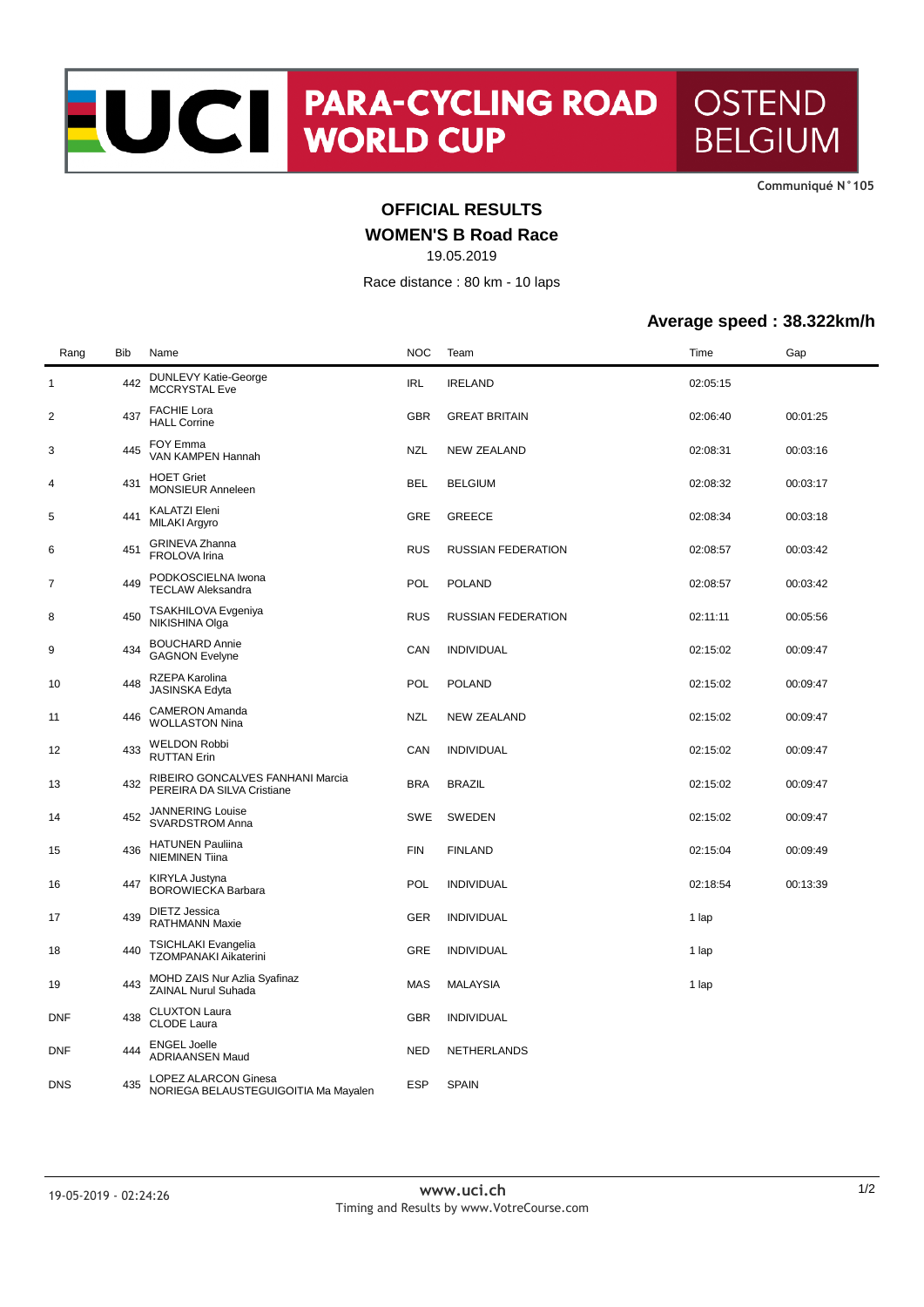**CommuniquÈ N°105**

# **OFFICIAL RESULTS**

### **WOMEN'S B Road Race**

19.05.2019

Race distance : 80 km - 10 laps

#### **Average speed : 38.322km/h**

| Rang       | Bib | Name                                                           | <b>NOC</b> | Team                      | Time     | Gap      |
|------------|-----|----------------------------------------------------------------|------------|---------------------------|----------|----------|
| 1          | 442 | <b>DUNLEVY Katie-George</b><br><b>MCCRYSTAL Eve</b>            | <b>IRL</b> | <b>IRELAND</b>            | 02:05:15 |          |
| 2          | 437 | <b>FACHIE Lora</b><br><b>HALL Corrine</b>                      | <b>GBR</b> | <b>GREAT BRITAIN</b>      | 02:06:40 | 00:01:25 |
| 3          | 445 | FOY Emma<br>VAN KAMPEN Hannah                                  | NZL        | NEW ZEALAND               | 02:08:31 | 00:03:16 |
| 4          | 431 | <b>HOET Griet</b><br><b>MONSIEUR Anneleen</b>                  | <b>BEL</b> | <b>BELGIUM</b>            | 02:08:32 | 00:03:17 |
| 5          | 441 | KALATZI Eleni<br>MILAKI Argyro                                 | GRE        | <b>GREECE</b>             | 02:08:34 | 00:03:18 |
| 6          | 451 | GRINEVA Zhanna<br>FROLOVA Irina                                | <b>RUS</b> | <b>RUSSIAN FEDERATION</b> | 02:08:57 | 00:03:42 |
| 7          | 449 | PODKOSCIELNA Iwona<br><b>TECLAW Aleksandra</b>                 | <b>POL</b> | <b>POLAND</b>             | 02:08:57 | 00:03:42 |
| 8          | 450 | TSAKHILOVA Evgeniya<br>NIKISHINA Olga                          | <b>RUS</b> | <b>RUSSIAN FEDERATION</b> | 02:11:11 | 00:05:56 |
| 9          | 434 | <b>BOUCHARD Annie</b><br><b>GAGNON Evelyne</b>                 | CAN        | <b>INDIVIDUAL</b>         | 02:15:02 | 00:09:47 |
| 10         | 448 | RZEPA Karolina<br>JASINSKA Edyta                               | POL        | <b>POLAND</b>             | 02:15:02 | 00:09:47 |
| 11         | 446 | <b>CAMERON Amanda</b><br><b>WOLLASTON Nina</b>                 | <b>NZL</b> | <b>NEW ZEALAND</b>        | 02:15:02 | 00:09:47 |
| 12         | 433 | <b>WELDON Robbi</b><br><b>RUTTAN Erin</b>                      | CAN        | <b>INDIVIDUAL</b>         | 02:15:02 | 00:09:47 |
| 13         | 432 | RIBEIRO GONCALVES FANHANI Marcia<br>PEREIRA DA SILVA Cristiane | <b>BRA</b> | <b>BRAZIL</b>             | 02:15:02 | 00:09:47 |
| 14         | 452 | <b>JANNERING Louise</b><br>SVARDSTROM Anna                     | SWE        | SWEDEN                    | 02:15:02 | 00:09:47 |
| 15         | 436 | <b>HATUNEN Pauliina</b><br><b>NIEMINEN Tiina</b>               | <b>FIN</b> | <b>FINLAND</b>            | 02:15:04 | 00:09:49 |
| 16         | 447 | <b>KIRYLA Justyna</b><br><b>BOROWIECKA Barbara</b>             | POL        | <b>INDIVIDUAL</b>         | 02:18:54 | 00:13:39 |
| 17         | 439 | <b>DIETZ Jessica</b><br><b>RATHMANN Maxie</b>                  | GER        | <b>INDIVIDUAL</b>         | 1 lap    |          |
| 18         | 440 | <b>TSICHLAKI Evangelia</b><br>TZOMPANAKI Aikaterini            | GRE        | <b>INDIVIDUAL</b>         | 1 lap    |          |
| 19         | 443 | MOHD ZAIS Nur Azlia Syafinaz<br>ZAINAL Nurul Suhada            | MAS        | <b>MALAYSIA</b>           | 1 lap    |          |
| DNF        | 438 | <b>CLUXTON Laura</b><br><b>CLODE Laura</b>                     | GBR        | <b>INDIVIDUAL</b>         |          |          |
| <b>DNF</b> | 444 | <b>ENGEL Joelle</b><br><b>ADRIAANSEN Maud</b>                  | NED        | NETHERLANDS               |          |          |
| <b>DNS</b> | 435 | LOPEZ ALARCON Ginesa<br>NORIEGA BELAUSTEGUIGOITIA Ma Mayalen   | <b>ESP</b> | <b>SPAIN</b>              |          |          |